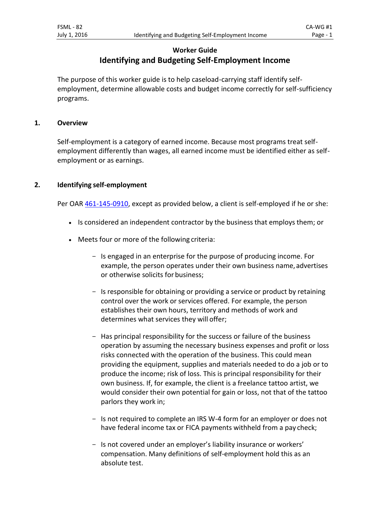# **Worker Guide Identifying and Budgeting Self-Employment Income**

The purpose of this worker guide is to help caseload-carrying staff identify selfemployment, determine allowable costs and budget income correctly for self-sufficiency programs.

## **1. Overview**

Self-employment is a category of earned income. Because most programs treat selfemployment differently than wages, all earned income must be identified either as selfemployment or as earnings.

# **2. Identifying self-employment**

Per OAR [461-145-0910,](http://apps.state.or.us/caf/arm/A/461-145-0910.htm) except as provided below, a client is self-employed if he or she:

- Is considered an independent contractor by the business that employs them; or
- Meets four or more of the following criteria:
	- Is engaged in an enterprise for the purpose of producing income. For example, the person operates under their own business name, advertises or otherwise solicits for business;
	- Is responsible for obtaining or providing a service or product by retaining control over the work or services offered. For example, the person establishes their own hours, territory and methods of work and determines what services they will offer;
	- Has principal responsibility for the success or failure of the business operation by assuming the necessary business expenses and profit or loss risks connected with the operation of the business. This could mean providing the equipment, supplies and materials needed to do a job or to produce the income; risk of loss. This is principal responsibility for their own business. If, for example, the client is a freelance tattoo artist, we would consider their own potential for gain or loss, not that of the tattoo parlors they work in;
	- Is not required to complete an IRS W-4 form for an employer or does not have federal income tax or FICA payments withheld from a pay check;
	- Is not covered under an employer's liability insurance or workers' compensation. Many definitions of self-employment hold this as an absolute test.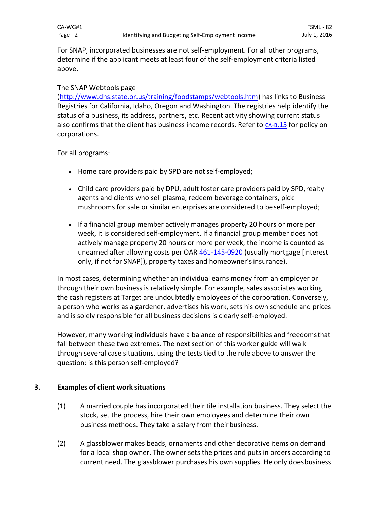For SNAP, incorporated businesses are not self-employment. For all other programs, determine if the applicant meets at least four of the self-employment criteria listed above.

#### The SNAP Webtools page

[\(http://www.dhs.state.or.us/training/foodstamps/webtools.htm\)](http://www.dhs.state.or.us/training/foodstamps/webtools.htm) has links to Business Registries for California, Idaho, Oregon and Washington. The registries help identify the status of a business, its address, partners, etc. Recent activity showing current status also confirms that the client has business income records. Refer to  $CA-B.15$  $CA-B.15$  for policy on corporations.

For all programs:

- Home care providers paid by SPD are not self-employed;
- Child care providers paid by DPU, adult foster care providers paid by SPD, realty agents and clients who sell plasma, redeem beverage containers, pick mushrooms for sale or similar enterprises are considered to beself-employed;
- If a financial group member actively manages property 20 hours or more per week, it is considered self-employment. If a financial group member does not actively manage property 20 hours or more per week, the income is counted as unearned after allowing costs per OAR [461-145-0920](http://apps.state.or.us/caf/arm/A/461-145-0920.htm) (usually mortgage [interest only, if not for SNAP]), property taxes and homeowner'sinsurance).

In most cases, determining whether an individual earns money from an employer or through their own business is relatively simple. For example, sales associates working the cash registers at Target are undoubtedly employees of the corporation. Conversely, a person who works as a gardener, advertises his work, sets his own schedule and prices and is solely responsible for all business decisions is clearly self-employed.

However, many working individuals have a balance of responsibilities and freedomsthat fall between these two extremes. The next section of this worker guide will walk through several case situations, using the tests tied to the rule above to answer the question: is this person self-employed?

## **3. Examples of client work situations**

- (1) A married couple has incorporated their tile installation business. They select the stock, set the process, hire their own employees and determine their own business methods. They take a salary from their business.
- (2) A glassblower makes beads, ornaments and other decorative items on demand for a local shop owner. The owner sets the prices and puts in orders according to current need. The glassblower purchases his own supplies. He only doesbusiness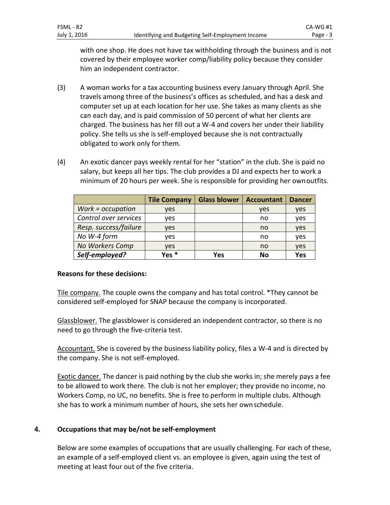Identifying and Budgeting Self-Employment Income Page - 3

with one shop. He does not have tax withholding through the business and is not covered by their employee worker comp/liability policy because they consider him an independent contractor.

- (3) A woman works for a tax accounting business every January through April. She travels among three of the business's offices as scheduled, and has a desk and computer set up at each location for her use. She takes as many clients as she can each day, and is paid commission of 50 percent of what her clients are charged. The business has her fill out a W-4 and covers her under their liability policy. She tells us she is self-employed because she is not contractually obligated to work only for them.
- (4) An exotic dancer pays weekly rental for her "station" in the club. She is paid no salary, but keeps all her tips. The club provides a DJ and expects her to work a minimum of 20 hours per week. She is responsible for providing her ownoutfits.

|                       | <b>Tile Company</b> | <b>Glass blower</b> | <b>Accountant</b> | <b>Dancer</b> |
|-----------------------|---------------------|---------------------|-------------------|---------------|
| $Work = occupation$   | yes                 |                     | <b>ves</b>        | yes           |
| Control over services | ves                 |                     | no                | yes           |
| Resp. success/failure | ves                 |                     | no                | yes           |
| No W-4 form           | ves                 |                     | no                | yes           |
| No Workers Comp       | ves                 |                     | no                | yes           |
| Self-employed?        | Yes <sup>*</sup>    | Yes                 | No                | Yes           |

## **Reasons for these decisions:**

Tile company. The couple owns the company and has total control. \*They cannot be considered self-employed for SNAP because the company is incorporated.

Glassblower. The glassblower is considered an independent contractor, so there is no need to go through the five-criteria test.

Accountant. She is covered by the business liability policy, files a W-4 and is directed by the company. She is not self-employed.

Exotic dancer. The dancer is paid nothing by the club she works in; she merely pays a fee to be allowed to work there. The club is not her employer; they provide no income, no Workers Comp, no UC, no benefits. She is free to perform in multiple clubs. Although she has to work a minimum number of hours, she sets her ownschedule.

## **4. Occupations that may be/not be self-employment**

Below are some examples of occupations that are usually challenging. For each of these, an example of a self-employed client vs. an employee is given, again using the test of meeting at least four out of the five criteria.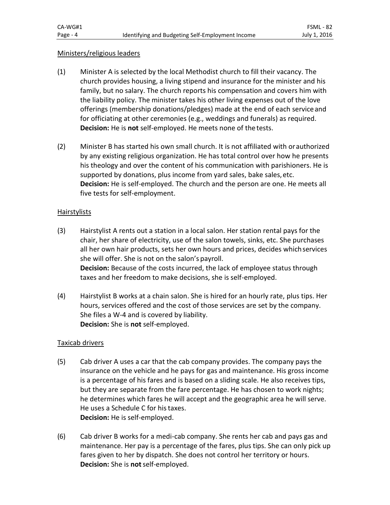#### Ministers/religious leaders

- (1) Minister A is selected by the local Methodist church to fill their vacancy. The church provides housing, a living stipend and insurance for the minister and his family, but no salary. The church reports his compensation and covers him with the liability policy. The minister takes his other living expenses out of the love offerings (membership donations/pledges) made at the end of each serviceand for officiating at other ceremonies (e.g., weddings and funerals) as required. **Decision:** He is **not** self-employed. He meets none of the tests.
- (2) Minister B has started his own small church. It is not affiliated with orauthorized by any existing religious organization. He has total control over how he presents his theology and over the content of his communication with parishioners. He is supported by donations, plus income from yard sales, bake sales, etc. **Decision:** He is self-employed. The church and the person are one. He meets all five tests for self-employment.

#### Hairstylists

- (3) Hairstylist A rents out a station in a local salon. Her station rental pays for the chair, her share of electricity, use of the salon towels, sinks, etc. She purchases all her own hair products, sets her own hours and prices, decides whichservices she will offer. She is not on the salon's payroll. **Decision:** Because of the costs incurred, the lack of employee status through taxes and her freedom to make decisions, she is self-employed.
- (4) Hairstylist B works at a chain salon. She is hired for an hourly rate, plus tips. Her hours, services offered and the cost of those services are set by the company. She files a W-4 and is covered by liability. **Decision:** She is **not** self-employed.

## Taxicab drivers

- (5) Cab driver A uses a car that the cab company provides. The company pays the insurance on the vehicle and he pays for gas and maintenance. His gross income is a percentage of his fares and is based on a sliding scale. He also receives tips, but they are separate from the fare percentage. He has chosen to work nights; he determines which fares he will accept and the geographic area he will serve. He uses a Schedule C for histaxes. **Decision:** He is self-employed.
- (6) Cab driver B works for a medi-cab company. She rents her cab and pays gas and maintenance. Her pay is a percentage of the fares, plus tips. She can only pick up fares given to her by dispatch. She does not control her territory or hours. **Decision:** She is **not**self-employed.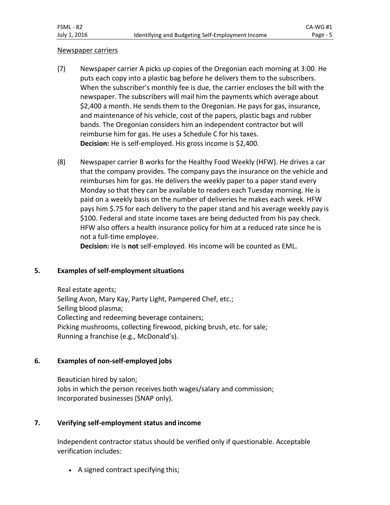#### Newspaper carriers

- (7) Newspaper carrier A picks up copies of the Oregonian each morning at 3:00. He puts each copy into a plastic bag before he delivers them to the subscribers. When the subscriber's monthly fee is due, the carrier encloses the bill with the newspaper. The subscribers will mail him the payments which average about \$2,400 a month. He sends them to the Oregonian. He pays for gas, insurance, and maintenance of his vehicle, cost of the papers, plastic bags and rubber bands. The Oregonian considers him an independent contractor but will reimburse him for gas. He uses a Schedule C for his taxes. **Decision:** He is self-employed. His gross income is \$2,400.
- (8) Newspaper carrier B works for the Healthy Food Weekly (HFW). He drives a car that the company provides. The company pays the insurance on the vehicle and reimburses him for gas. He delivers the weekly paper to a paper stand every Monday so that they can be available to readers each Tuesday morning. He is paid on a weekly basis on the number of deliveries he makes each week. HFW pays him \$.75 for each delivery to the paper stand and his average weekly pay is \$100. Federal and state income taxes are being deducted from his pay check. HFW also offers a health insurance policy for him at a reduced rate since he is not a full-time employee.

**Decision:** He is **not** self-employed. His income will be counted as EML.

## **5. Examples of self-employment situations**

Real estate agents; Selling Avon, Mary Kay, Party Light, Pampered Chef, etc.; Selling blood plasma; Collecting and redeeming beverage containers; Picking mushrooms, collecting firewood, picking brush, etc. for sale; Running a franchise (e.g., McDonald's).

## **6. Examples of non-self-employed jobs**

Beautician hired by salon; Jobs in which the person receives both wages/salary and commission; Incorporated businesses (SNAP only).

## **7. Verifying self-employment status and income**

Independent contractor status should be verified only if questionable. Acceptable verification includes:

• A signed contract specifying this;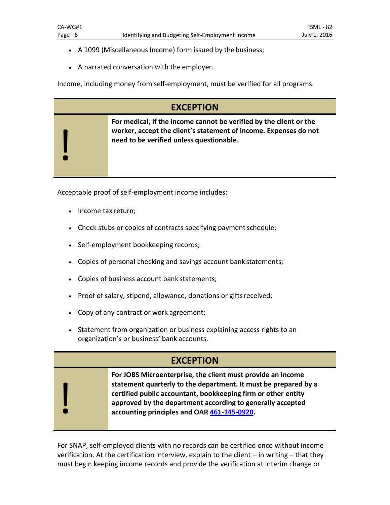- A 1099 (Miscellaneous Income) form issued by the business;
- A narrated conversation with the employer.

Income, including money from self-employment, must be verified for all programs.

| <b>EXCEPTION</b> |                                                                                                                                                                                    |  |
|------------------|------------------------------------------------------------------------------------------------------------------------------------------------------------------------------------|--|
|                  | For medical, if the income cannot be verified by the client or the<br>worker, accept the client's statement of income. Expenses do not<br>need to be verified unless questionable. |  |

Acceptable proof of self-employment income includes:

- Income tax return;
- Check stubs or copies of contracts specifying payment schedule;
- Self-employment bookkeeping records;
- Copies of personal checking and savings account bank statements;
- Copies of business account bank statements;
- Proof of salary, stipend, allowance, donations or gifts received;
- Copy of any contract or work agreement;
- Statement from organization or business explaining access rights to an organization's or business' bank accounts.

| <b>EXCEPTION</b> |                                                                                                                                                                                                                                                                                                              |  |  |
|------------------|--------------------------------------------------------------------------------------------------------------------------------------------------------------------------------------------------------------------------------------------------------------------------------------------------------------|--|--|
|                  | For JOBS Microenterprise, the client must provide an income<br>statement quarterly to the department. It must be prepared by a<br>certified public accountant, bookkeeping firm or other entity<br>approved by the department according to generally accepted<br>accounting principles and OAR 461-145-0920. |  |  |

For SNAP, self-employed clients with no records can be certified once without income verification. At the certification interview, explain to the client – in writing – that they must begin keeping income records and provide the verification at interim change or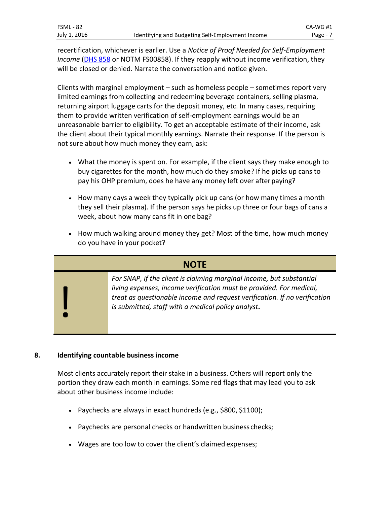recertification, whichever is earlier. Use a *Notice of Proof Needed for Self-Employment Income* [\(DHS 858](https://aix-xweb1p.state.or.us/es_xweb/DHSforms/Served/de0858.pdf?CFGRIDKEY=DHS%200858,0858,Notice%20of%20Proof%20Needed%20for%20Self-Employment%20Income,DE0858.doc,DE0858.pdf,,,,,,/es_xweb../FORMS/-,,/es_xweb../FORMS/-,) or NOTM FS00858). If they reapply without income verification, they will be closed or denied. Narrate the conversation and notice given.

Clients with marginal employment – such as homeless people – sometimes report very limited earnings from collecting and redeeming beverage containers, selling plasma, returning airport luggage carts for the deposit money, etc. In many cases, requiring them to provide written verification of self-employment earnings would be an unreasonable barrier to eligibility. To get an acceptable estimate of their income, ask the client about their typical monthly earnings. Narrate their response. If the person is not sure about how much money they earn, ask:

- What the money is spent on. For example, if the client says they make enough to buy cigarettes for the month, how much do they smoke? If he picks up cans to pay his OHP premium, does he have any money left over afterpaying?
- How many days a week they typically pick up cans (or how many times a month they sell their plasma). If the person says he picks up three or four bags of cans a week, about how many cans fit in one bag?
- How much walking around money they get? Most of the time, how much money do you have in your pocket?

| <b>NOTE</b> |                                                                                                                                                                                                                                                                                |  |  |
|-------------|--------------------------------------------------------------------------------------------------------------------------------------------------------------------------------------------------------------------------------------------------------------------------------|--|--|
|             | For SNAP, if the client is claiming marginal income, but substantial<br>living expenses, income verification must be provided. For medical,<br>treat as questionable income and request verification. If no verification<br>is submitted, staff with a medical policy analyst. |  |  |

# **8. Identifying countable businessincome**

Most clients accurately report their stake in a business. Others will report only the portion they draw each month in earnings. Some red flags that may lead you to ask about other business income include:

- Paychecks are always in exact hundreds (e.g., \$800, \$1100);
- Paychecks are personal checks or handwritten business checks;
- Wages are too low to cover the client's claimed expenses;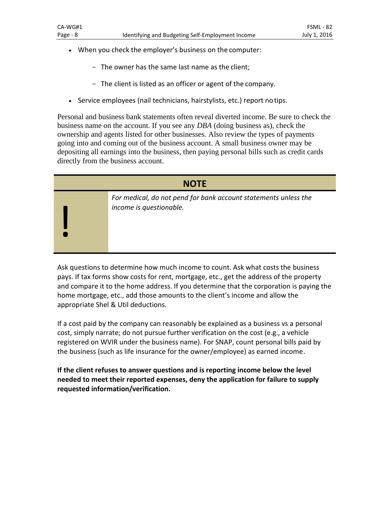- When you check the employer's business on the computer:
	- The owner has the same last name as the client;
	- The client is listed as an officer or agent of the company.
- Service employees (nail technicians, hairstylists, etc.) report notips.

Personal and business bank statements often reveal diverted income. Be sure to check the business name on the account. If you see any *DBA* (doing business as), check the ownership and agents listed for other businesses. Also review the types of payments going into and coming out of the business account. A small business owner may be depositing all earnings into the business, then paying personal bills such as credit cards directly from the business account.

| <b>NOTE</b> |                                                                                            |  |  |
|-------------|--------------------------------------------------------------------------------------------|--|--|
|             | For medical, do not pend for bank account statements unless the<br>income is questionable. |  |  |
|             |                                                                                            |  |  |

Ask questions to determine how much income to count. Ask what costs the business pays. If tax forms show costs for rent, mortgage, etc., get the address of the property and compare it to the home address. If you determine that the corporation is paying the home mortgage, etc., add those amounts to the client's income and allow the appropriate Shel & Util deductions.

If a cost paid by the company can reasonably be explained as a business vs a personal cost, simply narrate; do not pursue further verification on the cost (e.g., a vehicle registered on WVIR under the business name). For SNAP, count personal bills paid by the business (such as life insurance for the owner/employee) as earned income.

**If the client refuses to answer questions and is reporting income below the level needed to meet their reported expenses, deny the application for failure to supply requested information/verification.**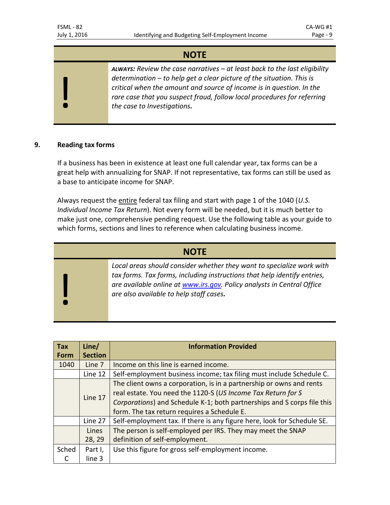# **NOTE**

*ALWAYS: Review the case narratives – at least back to the last eligibility determination – to help get a clear picture of the situation. This is critical when the amount and source of income is in question. In the rare case that you suspect fraud, follow local procedures for referring the case to Investigations.*

#### **9. Reading tax forms**

!

If a business has been in existence at least one full calendar year, tax forms can be a great help with annualizing for SNAP. If not representative, tax forms can still be used as a base to anticipate income for SNAP.

Always request the entire federal tax filing and start with page 1 of the 1040 (*U.S. Individual Income Tax Return*). Not every form will be needed, but it is much better to make just one, comprehensive pending request. Use the following table as your guide to which forms, sections and lines to reference when calculating business income.

| <b>NOTE</b> |                                                                                                                                                                                                                                                                        |  |  |
|-------------|------------------------------------------------------------------------------------------------------------------------------------------------------------------------------------------------------------------------------------------------------------------------|--|--|
|             | Local areas should consider whether they want to specialize work with<br>tax forms. Tax forms, including instructions that help identify entries,<br>are available online at www.irs.gov. Policy analysts in Central Office<br>are also available to help staff cases. |  |  |

| <b>Tax</b> | Line/          | <b>Information Provided</b>                                             |  |
|------------|----------------|-------------------------------------------------------------------------|--|
| Form       | <b>Section</b> |                                                                         |  |
| 1040       | Line 7         | Income on this line is earned income.                                   |  |
|            | Line 12        | Self-employment business income; tax filing must include Schedule C.    |  |
|            |                | The client owns a corporation, is in a partnership or owns and rents    |  |
|            | Line 17        | real estate. You need the 1120-S (US Income Tax Return for S            |  |
|            |                | Corporations) and Schedule K-1; both partnerships and S corps file this |  |
|            |                | form. The tax return requires a Schedule E.                             |  |
|            | Line 27        | Self-employment tax. If there is any figure here, look for Schedule SE. |  |
|            | Lines          | The person is self-employed per IRS. They may meet the SNAP             |  |
|            | 28, 29         | definition of self-employment.                                          |  |
| Sched      | Part I,        | Use this figure for gross self-employment income.                       |  |
|            | line 3         |                                                                         |  |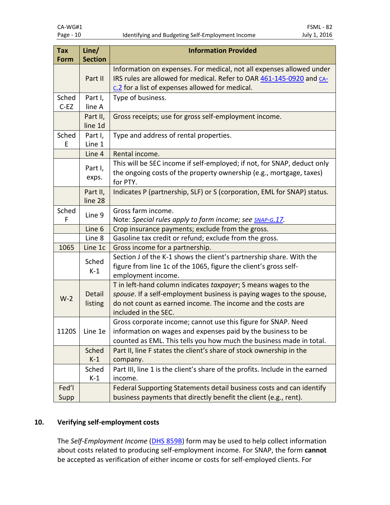| <b>Tax</b><br>Form | Line/<br><b>Section</b> | <b>Information Provided</b>                                                                                                                                                                                                   |  |
|--------------------|-------------------------|-------------------------------------------------------------------------------------------------------------------------------------------------------------------------------------------------------------------------------|--|
|                    | Part II                 | Information on expenses. For medical, not all expenses allowed under<br>IRS rules are allowed for medical. Refer to OAR 461-145-0920 and CA-<br>c.2 for a list of expenses allowed for medical.                               |  |
| Sched<br>$C-EZ$    | Part I,<br>line A       | Type of business.                                                                                                                                                                                                             |  |
|                    | Part II,<br>line 1d     | Gross receipts; use for gross self-employment income.                                                                                                                                                                         |  |
| Sched<br>F         | Part I,<br>Line 1       | Type and address of rental properties.                                                                                                                                                                                        |  |
|                    | Line 4                  | Rental income.                                                                                                                                                                                                                |  |
|                    | Part I,<br>exps.        | This will be SEC income if self-employed; if not, for SNAP, deduct only<br>the ongoing costs of the property ownership (e.g., mortgage, taxes)<br>for PTY.                                                                    |  |
|                    | Part II,<br>line 28     | Indicates P (partnership, SLF) or S (corporation, EML for SNAP) status.                                                                                                                                                       |  |
| Sched<br>F         | Line 9                  | Gross farm income.<br>Note: Special rules apply to farm income; see SNAP-G.17.                                                                                                                                                |  |
|                    | Line 6                  | Crop insurance payments; exclude from the gross.                                                                                                                                                                              |  |
|                    | Line 8                  | Gasoline tax credit or refund; exclude from the gross.                                                                                                                                                                        |  |
| 1065               | Line 1c                 | Gross income for a partnership.                                                                                                                                                                                               |  |
|                    | Sched<br>$K-1$          | Section J of the K-1 shows the client's partnership share. With the<br>figure from line 1c of the 1065, figure the client's gross self-<br>employment income.                                                                 |  |
| $W-2$              | Detail<br>listing       | T in left-hand column indicates taxpayer; S means wages to the<br>spouse. If a self-employment business is paying wages to the spouse,<br>do not count as earned income. The income and the costs are<br>included in the SEC. |  |
| 1120S              | Line 1e                 | Gross corporate income; cannot use this figure for SNAP. Need<br>information on wages and expenses paid by the business to be<br>counted as EML. This tells you how much the business made in total.                          |  |
|                    | Sched<br>$K-1$          | Part II, line F states the client's share of stock ownership in the<br>company.                                                                                                                                               |  |
|                    | Sched<br>$K-1$          | Part III, line 1 is the client's share of the profits. Include in the earned<br>income.                                                                                                                                       |  |
| Fed'l<br>Supp      |                         | Federal Supporting Statements detail business costs and can identify<br>business payments that directly benefit the client (e.g., rent).                                                                                      |  |

# **10. Verifying self-employment costs**

The *Self-Employment Income* [\(DHS 859B\)](https://aix-xweb1p.state.or.us/es_xweb/DHSforms/Served/de0859b.pdf?CFGRIDKEY=DHS%200859B,0859B,Self-Employment%20Income%20(Recycle%20prior%20versions),,DE0859B.pdf,,,,,,/es_xweb../FORMS/-,,/es_xweb../FORMS/-,) form may be used to help collect information about costs related to producing self-employment income. For SNAP, the form **cannot**  be accepted as verification of either income or costs for self-employed clients. For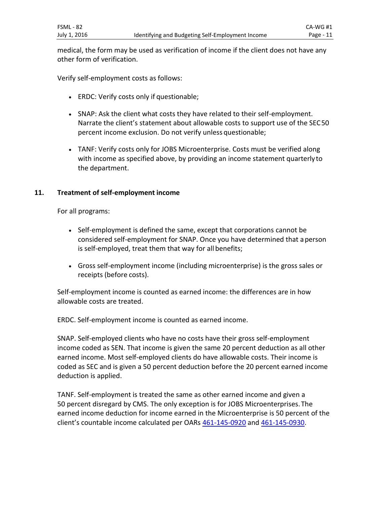medical, the form may be used as verification of income if the client does not have any other form of verification.

Verify self-employment costs as follows:

- ERDC: Verify costs only if questionable;
- SNAP: Ask the client what costs they have related to their self-employment. Narrate the client's statement about allowable costs to support use of the SEC50 percent income exclusion. Do not verify unless questionable;
- TANF: Verify costs only for JOBS Microenterprise. Costs must be verified along with income as specified above, by providing an income statement quarterly to the department.

#### **11. Treatment of self-employment income**

For all programs:

- Self-employment is defined the same, except that corporations cannot be considered self-employment for SNAP. Once you have determined that aperson is self-employed, treat them that way for all benefits;
- Gross self-employment income (including microenterprise) is the gross sales or receipts (before costs).

Self-employment income is counted as earned income: the differences are in how allowable costs are treated.

ERDC. Self-employment income is counted as earned income.

SNAP. Self-employed clients who have no costs have their gross self-employment income coded as SEN. That income is given the same 20 percent deduction as all other earned income. Most self-employed clients do have allowable costs. Their income is coded as SEC and is given a 50 percent deduction before the 20 percent earned income deduction is applied.

TANF. Self-employment is treated the same as other earned income and given a 50 percent disregard by CMS. The only exception is for JOBS Microenterprises. The earned income deduction for income earned in the Microenterprise is 50 percent of the client's countable income calculated per OARs [461-145-0920](http://apps.state.or.us/caf/arm/A/461-145-0920.htm) and [461-145-0930.](http://apps.state.or.us/caf/arm/A/461-145-0930.htm)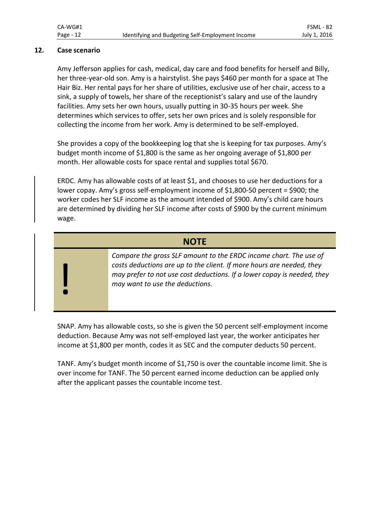#### **12. Case scenario**

!

Amy Jefferson applies for cash, medical, day care and food benefits for herself and Billy, her three-year-old son. Amy is a hairstylist. She pays \$460 per month for a space at The Hair Biz. Her rental pays for her share of utilities, exclusive use of her chair, access to a sink, a supply of towels, her share of the receptionist's salary and use of the laundry facilities. Amy sets her own hours, usually putting in 30-35 hours per week. She determines which services to offer, sets her own prices and is solely responsible for collecting the income from her work. Amy is determined to be self-employed.

She provides a copy of the bookkeeping log that she is keeping for tax purposes. Amy's budget month income of \$1,800 is the same as her ongoing average of \$1,800 per month. Her allowable costs for space rental and supplies total \$670.

ERDC. Amy has allowable costs of at least \$1, and chooses to use her deductions for a lower copay. Amy's gross self-employment income of \$1,800-50 percent = \$900; the worker codes her SLF income as the amount intended of \$900. Amy's child care hours are determined by dividing her SLF income after costs of \$900 by the current minimum wage.

# **NOTE**

*Compare the gross SLF amount to the ERDC income chart. The use of costs deductions are up to the client. If more hours are needed, they may prefer to not use cost deductions. If a lower copay is needed, they may want to use the deductions.*

SNAP. Amy has allowable costs, so she is given the 50 percent self-employment income deduction. Because Amy was not self-employed last year, the worker anticipates her income at \$1,800 per month, codes it as SEC and the computer deducts 50 percent.

TANF. Amy's budget month income of \$1,750 is over the countable income limit. She is over income for TANF. The 50 percent earned income deduction can be applied only after the applicant passes the countable income test.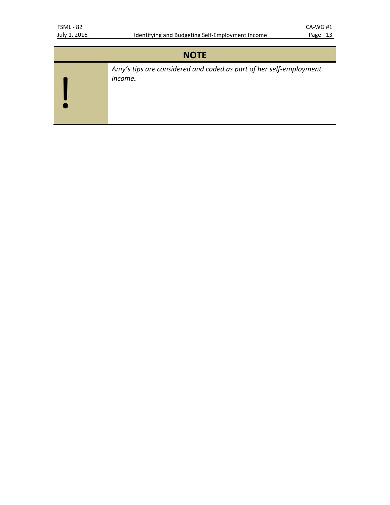| <b>NOTE</b> |                                                                               |  |
|-------------|-------------------------------------------------------------------------------|--|
|             | Amy's tips are considered and coded as part of her self-employment<br>income. |  |